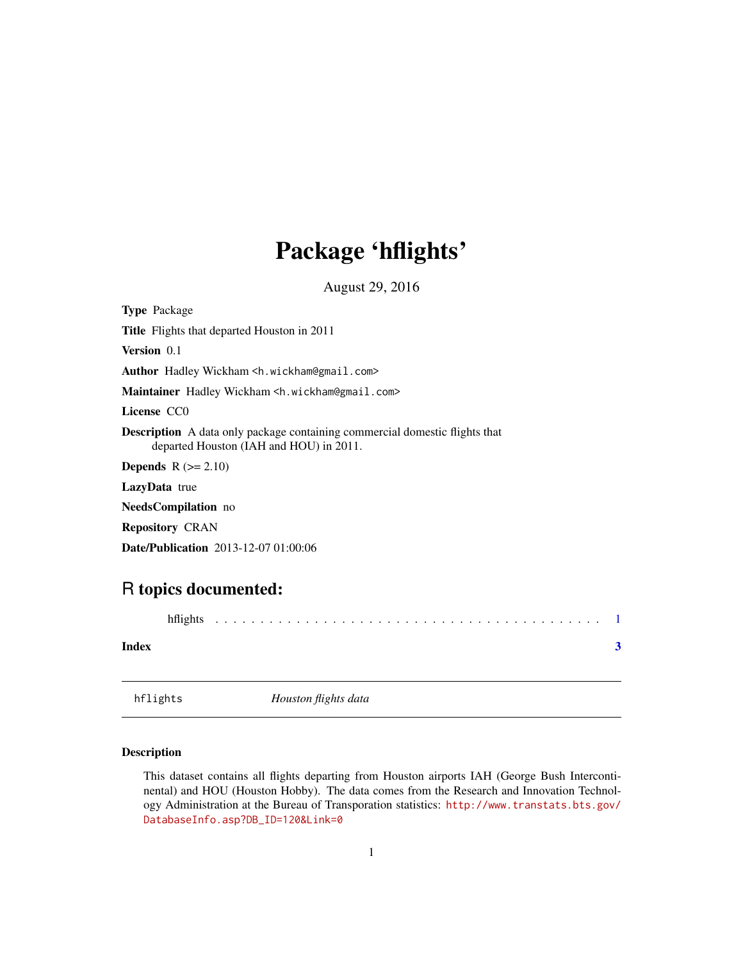## <span id="page-0-0"></span>Package 'hflights'

August 29, 2016

Type Package

Title Flights that departed Houston in 2011

Version 0.1

Author Hadley Wickham <h.wickham@gmail.com>

Maintainer Hadley Wickham <h.wickham@gmail.com>

License CC0

Description A data only package containing commercial domestic flights that departed Houston (IAH and HOU) in 2011.

**Depends**  $R$  ( $>= 2.10$ )

LazyData true

NeedsCompilation no

Repository CRAN

Date/Publication 2013-12-07 01:00:06

### R topics documented:

| hflights |  |  |  |  |  |  |  |  |  |  |  |  |  |  |  |  |  |  |  |  |  |  |  |  |  |  |  |  |  |  |  |  |  |  |
|----------|--|--|--|--|--|--|--|--|--|--|--|--|--|--|--|--|--|--|--|--|--|--|--|--|--|--|--|--|--|--|--|--|--|--|
|----------|--|--|--|--|--|--|--|--|--|--|--|--|--|--|--|--|--|--|--|--|--|--|--|--|--|--|--|--|--|--|--|--|--|--|

#### **Index** [3](#page-2-0)

hflights *Houston flights data*

#### Description

This dataset contains all flights departing from Houston airports IAH (George Bush Intercontinental) and HOU (Houston Hobby). The data comes from the Research and Innovation Technology Administration at the Bureau of Transporation statistics: [http://www.transtats.bts.gov/](http://www.transtats.bts.gov/DatabaseInfo.asp?DB_ID=120&Link=0) [DatabaseInfo.asp?DB\\_ID=120&Link=0](http://www.transtats.bts.gov/DatabaseInfo.asp?DB_ID=120&Link=0)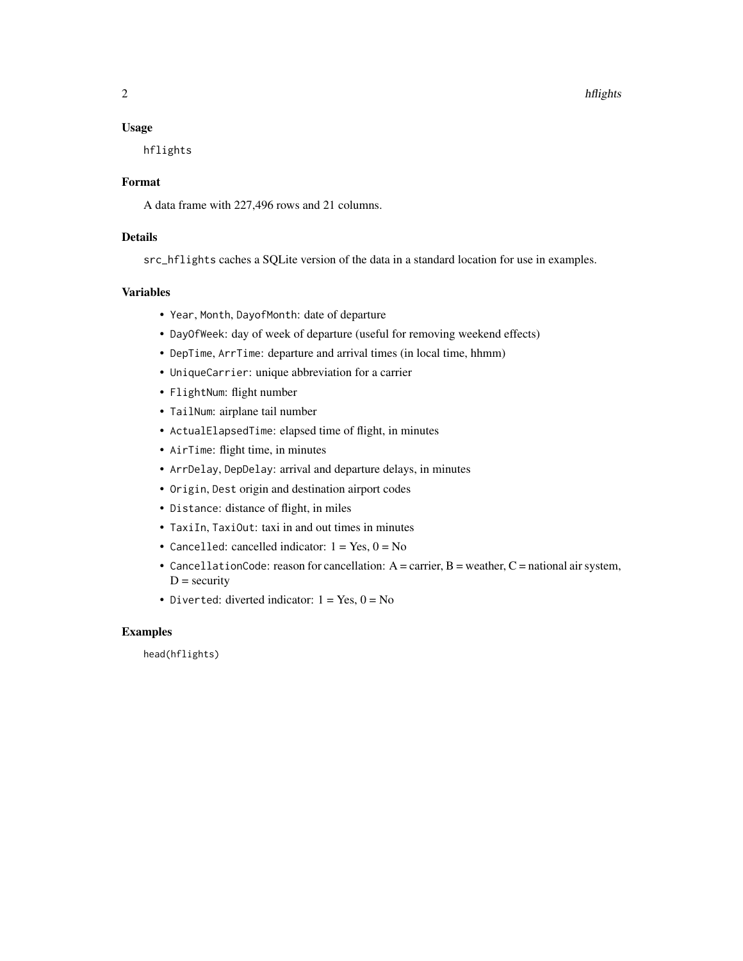#### Usage

hflights

#### Format

A data frame with 227,496 rows and 21 columns.

#### Details

src\_hflights caches a SQLite version of the data in a standard location for use in examples.

#### Variables

- Year, Month, DayofMonth: date of departure
- DayOfWeek: day of week of departure (useful for removing weekend effects)
- DepTime, ArrTime: departure and arrival times (in local time, hhmm)
- UniqueCarrier: unique abbreviation for a carrier
- FlightNum: flight number
- TailNum: airplane tail number
- ActualElapsedTime: elapsed time of flight, in minutes
- AirTime: flight time, in minutes
- ArrDelay, DepDelay: arrival and departure delays, in minutes
- Origin, Dest origin and destination airport codes
- Distance: distance of flight, in miles
- TaxiIn, TaxiOut: taxi in and out times in minutes
- Cancelled: cancelled indicator:  $1 = Yes, 0 = No$
- CancellationCode: reason for cancellation:  $A =$  carrier,  $B =$  weather,  $C =$  national air system,  $D =$  security
- Diverted: diverted indicator:  $1 = Yes$ ,  $0 = No$

#### Examples

head(hflights)